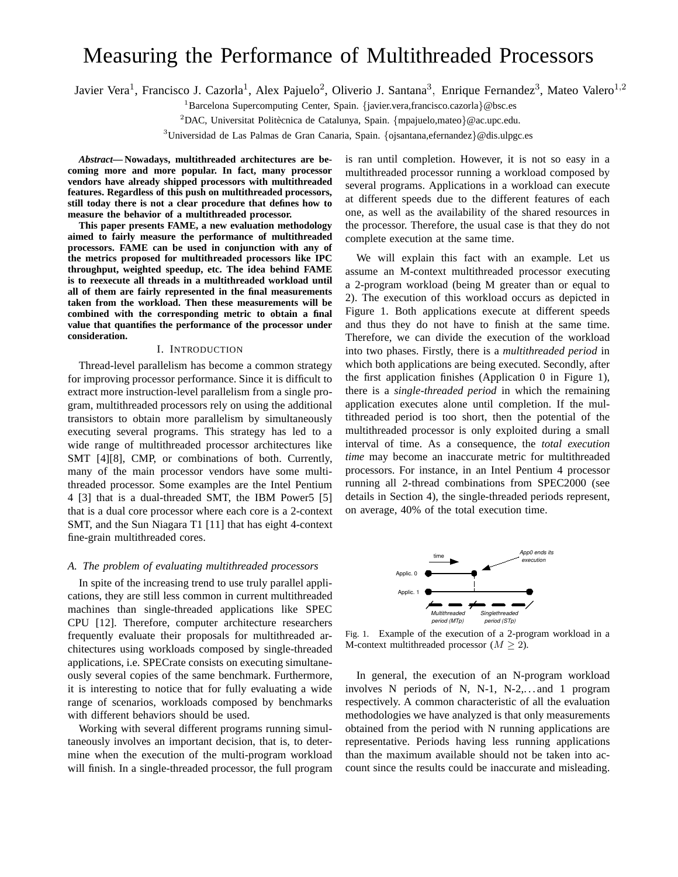# Measuring the Performance of Multithreaded Processors

Javier Vera<sup>1</sup>, Francisco J. Cazorla<sup>1</sup>, Alex Pajuelo<sup>2</sup>, Oliverio J. Santana<sup>3</sup>, Enrique Fernandez<sup>3</sup>, Mateo Valero<sup>1,2</sup>

<sup>1</sup>Barcelona Supercomputing Center, Spain. {javier.vera,francisco.cazorla}@bsc.es

<sup>2</sup>DAC, Universitat Politècnica de Catalunya, Spain. {mpajuelo,mateo}@ac.upc.edu.

<sup>3</sup>Universidad de Las Palmas de Gran Canaria, Spain. {ojsantana,efernandez}@dis.ulpgc.es

*Abstract***— Nowadays, multithreaded architectures are becoming more and more popular. In fact, many processor vendors have already shipped processors with multithreaded features. Regardless of this push on multithreaded processors, still today there is not a clear procedure that defines how to measure the behavior of a multithreaded processor.**

**This paper presents FAME, a new evaluation methodology aimed to fairly measure the performance of multithreaded processors. FAME can be used in conjunction with any of the metrics proposed for multithreaded processors like IPC throughput, weighted speedup, etc. The idea behind FAME is to reexecute all threads in a multithreaded workload until all of them are fairly represented in the final measurements taken from the workload. Then these measurements will be combined with the corresponding metric to obtain a final value that quantifies the performance of the processor under consideration.**

### I. INTRODUCTION

Thread-level parallelism has become a common strategy for improving processor performance. Since it is difficult to extract more instruction-level parallelism from a single program, multithreaded processors rely on using the additional transistors to obtain more parallelism by simultaneously executing several programs. This strategy has led to a wide range of multithreaded processor architectures like SMT [4][8], CMP, or combinations of both. Currently, many of the main processor vendors have some multithreaded processor. Some examples are the Intel Pentium 4 [3] that is a dual-threaded SMT, the IBM Power5 [5] that is a dual core processor where each core is a 2-context SMT, and the Sun Niagara T1 [11] that has eight 4-context fine-grain multithreaded cores.

## *A. The problem of evaluating multithreaded processors*

In spite of the increasing trend to use truly parallel applications, they are still less common in current multithreaded machines than single-threaded applications like SPEC CPU [12]. Therefore, computer architecture researchers frequently evaluate their proposals for multithreaded architectures using workloads composed by single-threaded applications, i.e. SPECrate consists on executing simultaneously several copies of the same benchmark. Furthermore, it is interesting to notice that for fully evaluating a wide range of scenarios, workloads composed by benchmarks with different behaviors should be used.

Working with several different programs running simultaneously involves an important decision, that is, to determine when the execution of the multi-program workload will finish. In a single-threaded processor, the full program is ran until completion. However, it is not so easy in a multithreaded processor running a workload composed by several programs. Applications in a workload can execute at different speeds due to the different features of each one, as well as the availability of the shared resources in the processor. Therefore, the usual case is that they do not complete execution at the same time.

We will explain this fact with an example. Let us assume an M-context multithreaded processor executing a 2-program workload (being M greater than or equal to 2). The execution of this workload occurs as depicted in Figure 1. Both applications execute at different speeds and thus they do not have to finish at the same time. Therefore, we can divide the execution of the workload into two phases. Firstly, there is a *multithreaded period* in which both applications are being executed. Secondly, after the first application finishes (Application 0 in Figure 1), there is a *single-threaded period* in which the remaining application executes alone until completion. If the multithreaded period is too short, then the potential of the multithreaded processor is only exploited during a small interval of time. As a consequence, the *total execution time* may become an inaccurate metric for multithreaded processors. For instance, in an Intel Pentium 4 processor running all 2-thread combinations from SPEC2000 (see details in Section 4), the single-threaded periods represent, on average, 40% of the total execution time.



Fig. 1. Example of the execution of a 2-program workload in a M-context multithreaded processor ( $M \ge 2$ ).

In general, the execution of an N-program workload involves N periods of N, N-1, N-2, $\dots$  and 1 program respectively. A common characteristic of all the evaluation methodologies we have analyzed is that only measurements obtained from the period with N running applications are representative. Periods having less running applications than the maximum available should not be taken into account since the results could be inaccurate and misleading.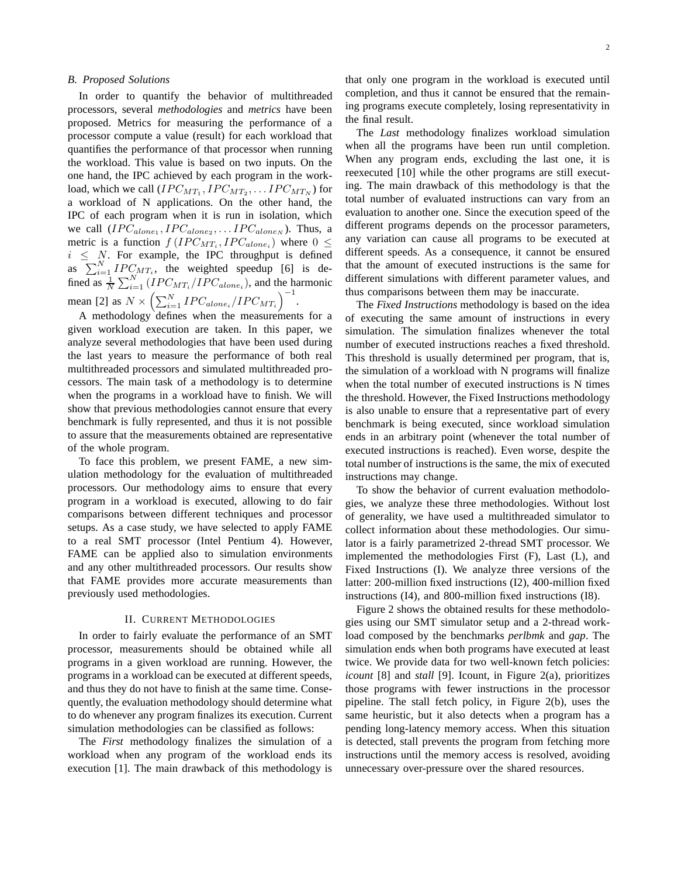# *B. Proposed Solutions*

In order to quantify the behavior of multithreaded processors, several *methodologies* and *metrics* have been proposed. Metrics for measuring the performance of a processor compute a value (result) for each workload that quantifies the performance of that processor when running the workload. This value is based on two inputs. On the one hand, the IPC achieved by each program in the workload, which we call  $(IPC_{MT_1}, IPC_{MT_2}, \ldots IPC_{MT_N})$  for a workload of N applications. On the other hand, the IPC of each program when it is run in isolation, which we call  $(IPC_{alone_1}, IPC_{alone_2}, \ldots IPC_{alone_N})$ . Thus, a metric is a function  $f(IPC_{MT_i}, IPC_{alone_i})$  where  $0 \le$  $i \leq N$ . For example, the IPC throughput is defined as  $\sum_{i=1}^{N} IPC_{MT_i}$ , the weighted speedup [6] is defined as  $\frac{1}{N} \sum_{i=1}^{N} (IPC_{MT_i}/IPC_{alone_i})$ , and the harmonic mean [2] as  $N \times \left( \sum_{i=1}^{N} IPC_{alone_i}/IPC_{MT_i} \right)^{-1}$ .

A methodology defines when the measurements for a given workload execution are taken. In this paper, we analyze several methodologies that have been used during the last years to measure the performance of both real multithreaded processors and simulated multithreaded processors. The main task of a methodology is to determine when the programs in a workload have to finish. We will show that previous methodologies cannot ensure that every benchmark is fully represented, and thus it is not possible to assure that the measurements obtained are representative of the whole program.

To face this problem, we present FAME, a new simulation methodology for the evaluation of multithreaded processors. Our methodology aims to ensure that every program in a workload is executed, allowing to do fair comparisons between different techniques and processor setups. As a case study, we have selected to apply FAME to a real SMT processor (Intel Pentium 4). However, FAME can be applied also to simulation environments and any other multithreaded processors. Our results show that FAME provides more accurate measurements than previously used methodologies.

# II. CURRENT METHODOLOGIES

In order to fairly evaluate the performance of an SMT processor, measurements should be obtained while all programs in a given workload are running. However, the programs in a workload can be executed at different speeds, and thus they do not have to finish at the same time. Consequently, the evaluation methodology should determine what to do whenever any program finalizes its execution. Current simulation methodologies can be classified as follows:

The *First* methodology finalizes the simulation of a workload when any program of the workload ends its execution [1]. The main drawback of this methodology is that only one program in the workload is executed until completion, and thus it cannot be ensured that the remaining programs execute completely, losing representativity in the final result.

The *Last* methodology finalizes workload simulation when all the programs have been run until completion. When any program ends, excluding the last one, it is reexecuted [10] while the other programs are still executing. The main drawback of this methodology is that the total number of evaluated instructions can vary from an evaluation to another one. Since the execution speed of the different programs depends on the processor parameters, any variation can cause all programs to be executed at different speeds. As a consequence, it cannot be ensured that the amount of executed instructions is the same for different simulations with different parameter values, and thus comparisons between them may be inaccurate.

The *Fixed Instructions* methodology is based on the idea of executing the same amount of instructions in every simulation. The simulation finalizes whenever the total number of executed instructions reaches a fixed threshold. This threshold is usually determined per program, that is, the simulation of a workload with N programs will finalize when the total number of executed instructions is N times the threshold. However, the Fixed Instructions methodology is also unable to ensure that a representative part of every benchmark is being executed, since workload simulation ends in an arbitrary point (whenever the total number of executed instructions is reached). Even worse, despite the total number of instructions is the same, the mix of executed instructions may change.

To show the behavior of current evaluation methodologies, we analyze these three methodologies. Without lost of generality, we have used a multithreaded simulator to collect information about these methodologies. Our simulator is a fairly parametrized 2-thread SMT processor. We implemented the methodologies First (F), Last (L), and Fixed Instructions (I). We analyze three versions of the latter: 200-million fixed instructions (I2), 400-million fixed instructions (I4), and 800-million fixed instructions (I8).

Figure 2 shows the obtained results for these methodologies using our SMT simulator setup and a 2-thread workload composed by the benchmarks *perlbmk* and *gap*. The simulation ends when both programs have executed at least twice. We provide data for two well-known fetch policies: *icount* [8] and *stall* [9]. Icount, in Figure 2(a), prioritizes those programs with fewer instructions in the processor pipeline. The stall fetch policy, in Figure 2(b), uses the same heuristic, but it also detects when a program has a pending long-latency memory access. When this situation is detected, stall prevents the program from fetching more instructions until the memory access is resolved, avoiding unnecessary over-pressure over the shared resources.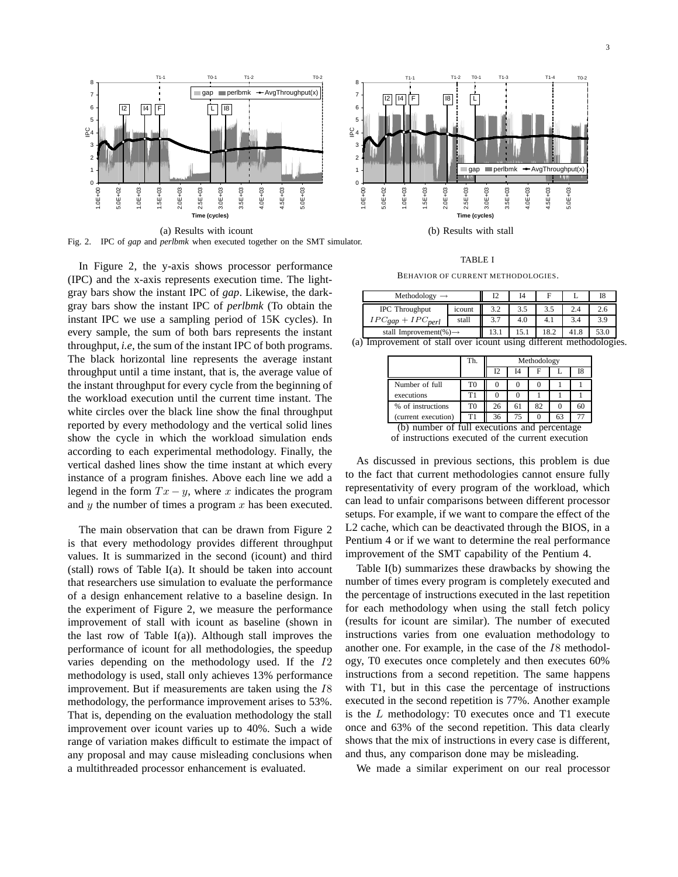

Fig. 2. IPC of *gap* and *perlbmk* when executed together on the SMT simulator.

In Figure 2, the y-axis shows processor performance (IPC) and the x-axis represents execution time. The lightgray bars show the instant IPC of *gap*. Likewise, the darkgray bars show the instant IPC of *perlbmk* (To obtain the instant IPC we use a sampling period of 15K cycles). In every sample, the sum of both bars represents the instant throughput, *i.e*, the sum of the instant IPC of both programs. The black horizontal line represents the average instant throughput until a time instant, that is, the average value of the instant throughput for every cycle from the beginning of the workload execution until the current time instant. The white circles over the black line show the final throughput reported by every methodology and the vertical solid lines show the cycle in which the workload simulation ends according to each experimental methodology. Finally, the vertical dashed lines show the time instant at which every instance of a program finishes. Above each line we add a legend in the form  $Tx - y$ , where x indicates the program and  $y$  the number of times a program  $x$  has been executed.

The main observation that can be drawn from Figure 2 is that every methodology provides different throughput values. It is summarized in the second (icount) and third (stall) rows of Table I(a). It should be taken into account that researchers use simulation to evaluate the performance of a design enhancement relative to a baseline design. In the experiment of Figure 2, we measure the performance improvement of stall with icount as baseline (shown in the last row of Table I(a)). Although stall improves the performance of icount for all methodologies, the speedup varies depending on the methodology used. If the I2 methodology is used, stall only achieves 13% performance improvement. But if measurements are taken using the I8 methodology, the performance improvement arises to 53%. That is, depending on the evaluation methodology the stall improvement over icount varies up to 40%. Such a wide range of variation makes difficult to estimate the impact of any proposal and may cause misleading conclusions when a multithreaded processor enhancement is evaluated.

TABLE I

BEHAVIOR OF CURRENT METHODOLOGIES.

| Methodology $\rightarrow$          |                          |     |     |              |     | I8  |
|------------------------------------|--------------------------|-----|-----|--------------|-----|-----|
| <b>IPC</b> Throughput              | 3.2                      | 3.5 | 3.5 | 2.4          | 2.6 |     |
| $IPC_{gap} + IPC_{perl}$           | stall                    | 3.7 | 4.U |              | 3.4 | 3.9 |
| stall Improvement(%) $\rightarrow$ | $\overline{\phantom{a}}$ |     |     | 18.2<br>---- |     |     |

(a) Improvement of stall over icount using different methodologies.

|                              | Th.            | Methodology |    |    |    |    |  |  |  |
|------------------------------|----------------|-------------|----|----|----|----|--|--|--|
|                              |                | I2          | 14 | Е  |    | I8 |  |  |  |
| Number of full               | T <sub>0</sub> |             |    |    |    |    |  |  |  |
| executions                   | T1             |             |    |    |    |    |  |  |  |
| % of instructions            | T <sub>0</sub> | 26          | 61 | 82 |    | 60 |  |  |  |
| (current execution)          | T1             | 36          | 75 |    | 63 | 77 |  |  |  |
| executions<br>and percentage |                |             |    |    |    |    |  |  |  |

of instructions executed of the current execution

As discussed in previous sections, this problem is due to the fact that current methodologies cannot ensure fully representativity of every program of the workload, which can lead to unfair comparisons between different processor setups. For example, if we want to compare the effect of the L2 cache, which can be deactivated through the BIOS, in a Pentium 4 or if we want to determine the real performance improvement of the SMT capability of the Pentium 4.

Table I(b) summarizes these drawbacks by showing the number of times every program is completely executed and the percentage of instructions executed in the last repetition for each methodology when using the stall fetch policy (results for icount are similar). The number of executed instructions varies from one evaluation methodology to another one. For example, in the case of the I8 methodology, T0 executes once completely and then executes 60% instructions from a second repetition. The same happens with T1, but in this case the percentage of instructions executed in the second repetition is 77%. Another example is the L methodology: T0 executes once and T1 execute once and 63% of the second repetition. This data clearly shows that the mix of instructions in every case is different, and thus, any comparison done may be misleading.

We made a similar experiment on our real processor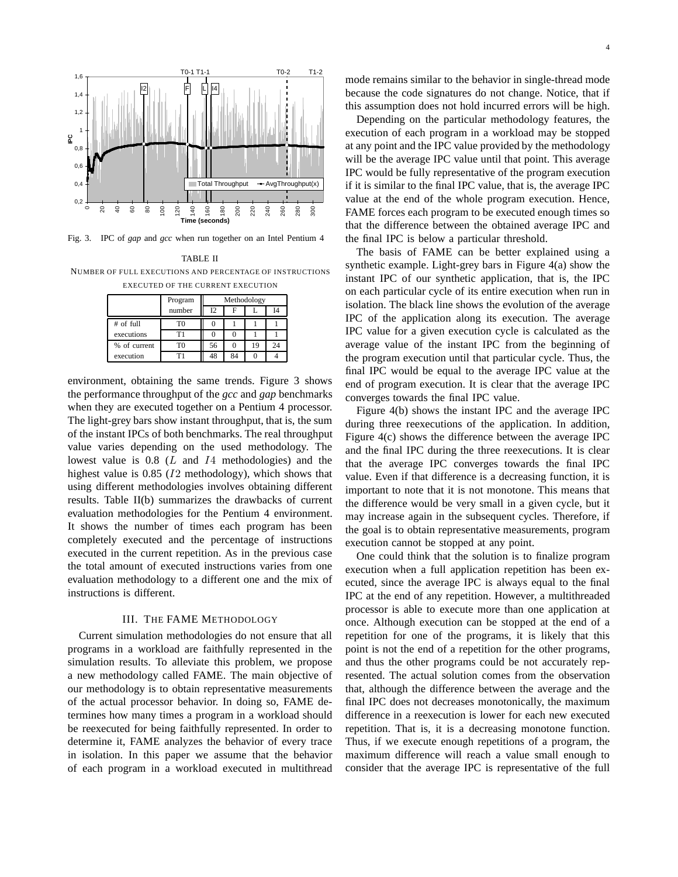

Fig. 3. IPC of *gap* and *gcc* when run together on an Intel Pentium 4

TABLE II NUMBER OF FULL EXECUTIONS AND PERCENTAGE OF INSTRUCTIONS EXECUTED OF THE CURRENT EXECUTION

|              | Program | Methodology |    |    |    |  |
|--------------|---------|-------------|----|----|----|--|
|              | number  | I2          | F  |    | 14 |  |
| # of full    | T0      |             |    |    |    |  |
| executions   | T1      |             |    |    |    |  |
| % of current | T0      | 56          |    | 19 | 24 |  |
| execution    | т1      | 48          | 84 |    |    |  |

environment, obtaining the same trends. Figure 3 shows the performance throughput of the *gcc* and *gap* benchmarks when they are executed together on a Pentium 4 processor. The light-grey bars show instant throughput, that is, the sum of the instant IPCs of both benchmarks. The real throughput value varies depending on the used methodology. The lowest value is  $0.8$  (L and  $I4$  methodologies) and the highest value is 0.85 (I2 methodology), which shows that using different methodologies involves obtaining different results. Table II(b) summarizes the drawbacks of current evaluation methodologies for the Pentium 4 environment. It shows the number of times each program has been completely executed and the percentage of instructions executed in the current repetition. As in the previous case the total amount of executed instructions varies from one evaluation methodology to a different one and the mix of instructions is different.

## III. THE FAME METHODOLOGY

Current simulation methodologies do not ensure that all programs in a workload are faithfully represented in the simulation results. To alleviate this problem, we propose a new methodology called FAME. The main objective of our methodology is to obtain representative measurements of the actual processor behavior. In doing so, FAME determines how many times a program in a workload should be reexecuted for being faithfully represented. In order to determine it, FAME analyzes the behavior of every trace in isolation. In this paper we assume that the behavior of each program in a workload executed in multithread

mode remains similar to the behavior in single-thread mode because the code signatures do not change. Notice, that if this assumption does not hold incurred errors will be high.

Depending on the particular methodology features, the execution of each program in a workload may be stopped at any point and the IPC value provided by the methodology will be the average IPC value until that point. This average IPC would be fully representative of the program execution if it is similar to the final IPC value, that is, the average IPC value at the end of the whole program execution. Hence, FAME forces each program to be executed enough times so that the difference between the obtained average IPC and the final IPC is below a particular threshold.

The basis of FAME can be better explained using a synthetic example. Light-grey bars in Figure 4(a) show the instant IPC of our synthetic application, that is, the IPC on each particular cycle of its entire execution when run in isolation. The black line shows the evolution of the average IPC of the application along its execution. The average IPC value for a given execution cycle is calculated as the average value of the instant IPC from the beginning of the program execution until that particular cycle. Thus, the final IPC would be equal to the average IPC value at the end of program execution. It is clear that the average IPC converges towards the final IPC value.

Figure 4(b) shows the instant IPC and the average IPC during three reexecutions of the application. In addition, Figure 4(c) shows the difference between the average IPC and the final IPC during the three reexecutions. It is clear that the average IPC converges towards the final IPC value. Even if that difference is a decreasing function, it is important to note that it is not monotone. This means that the difference would be very small in a given cycle, but it may increase again in the subsequent cycles. Therefore, if the goal is to obtain representative measurements, program execution cannot be stopped at any point.

One could think that the solution is to finalize program execution when a full application repetition has been executed, since the average IPC is always equal to the final IPC at the end of any repetition. However, a multithreaded processor is able to execute more than one application at once. Although execution can be stopped at the end of a repetition for one of the programs, it is likely that this point is not the end of a repetition for the other programs, and thus the other programs could be not accurately represented. The actual solution comes from the observation that, although the difference between the average and the final IPC does not decreases monotonically, the maximum difference in a reexecution is lower for each new executed repetition. That is, it is a decreasing monotone function. Thus, if we execute enough repetitions of a program, the maximum difference will reach a value small enough to consider that the average IPC is representative of the full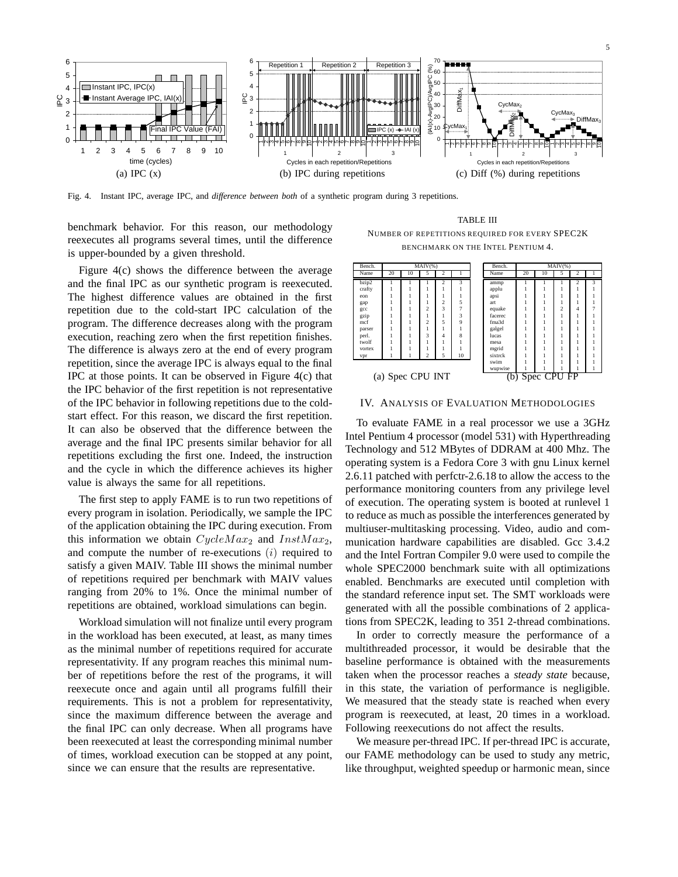5



Fig. 4. Instant IPC, average IPC, and *difference between both* of a synthetic program during 3 repetitions.

benchmark behavior. For this reason, our methodology reexecutes all programs several times, until the difference is upper-bounded by a given threshold.

Figure 4(c) shows the difference between the average and the final IPC as our synthetic program is reexecuted. The highest difference values are obtained in the first repetition due to the cold-start IPC calculation of the program. The difference decreases along with the program execution, reaching zero when the first repetition finishes. The difference is always zero at the end of every program repetition, since the average IPC is always equal to the final IPC at those points. It can be observed in Figure 4(c) that the IPC behavior of the first repetition is not representative of the IPC behavior in following repetitions due to the coldstart effect. For this reason, we discard the first repetition. It can also be observed that the difference between the average and the final IPC presents similar behavior for all repetitions excluding the first one. Indeed, the instruction and the cycle in which the difference achieves its higher value is always the same for all repetitions.

The first step to apply FAME is to run two repetitions of every program in isolation. Periodically, we sample the IPC of the application obtaining the IPC during execution. From this information we obtain  $CycleMax_2$  and  $InstMax_2$ , and compute the number of re-executions  $(i)$  required to satisfy a given MAIV. Table III shows the minimal number of repetitions required per benchmark with MAIV values ranging from 20% to 1%. Once the minimal number of repetitions are obtained, workload simulations can begin.

Workload simulation will not finalize until every program in the workload has been executed, at least, as many times as the minimal number of repetitions required for accurate representativity. If any program reaches this minimal number of repetitions before the rest of the programs, it will reexecute once and again until all programs fulfill their requirements. This is not a problem for representativity, since the maximum difference between the average and the final IPC can only decrease. When all programs have been reexecuted at least the corresponding minimal number of times, workload execution can be stopped at any point, since we can ensure that the results are representative.

TABLE III NUMBER OF REPETITIONS REQUIRED FOR EVERY SPEC2K BENCHMARK ON THE INTEL PENTIUM 4.

| Bench.           | $MAIV$ (%) |    |                |                |                 | Bench. | $\overline{\text{MAIV}}$ (%) |    |    |                |                |   |
|------------------|------------|----|----------------|----------------|-----------------|--------|------------------------------|----|----|----------------|----------------|---|
| Name             | 20         | 10 | 5              | $\overline{2}$ | п               |        | Name                         | 20 | 10 | 5              | $\overline{c}$ | 1 |
| bzip2            |            |    |                | $\overline{c}$ | 3               |        | ammp                         |    |    |                | $\overline{2}$ | 3 |
| crafty           |            |    |                |                |                 |        | applu                        |    |    |                |                |   |
| eon              |            |    |                |                |                 |        | apsi                         |    |    |                |                |   |
| gap              |            |    |                | $\overline{c}$ | 5               |        | art                          |    |    |                |                |   |
| gcc              |            |    | $\overline{c}$ | 3              | 7               |        | equake                       |    |    | $\overline{c}$ | $\overline{4}$ | 7 |
| gzip             |            |    |                |                | 3               |        | facerec                      |    |    |                |                |   |
| mcf              |            |    | $\overline{2}$ | 5              | 9               |        | fma3d                        |    |    |                |                |   |
| parser           |            |    |                |                |                 |        | galgel                       |    |    |                |                |   |
| perl.            |            |    | 3              | 4              | $\bf{8}$        |        | lucas                        |    |    |                |                |   |
| twolf            |            |    |                |                |                 |        | mesa                         |    |    |                |                |   |
| vortex           |            |    |                |                |                 |        | mgrid                        |    |    |                |                |   |
| vpr              |            |    | $\overline{2}$ | 5              | 10              |        | sixtrck                      |    |    |                |                |   |
|                  |            |    |                |                |                 |        | swim                         |    |    |                |                |   |
|                  |            |    |                |                |                 |        | wupwise                      |    |    |                |                |   |
| (a) Spec CPU INT |            |    |                |                | (b) Spec CPU FP |        |                              |    |    |                |                |   |

# IV. ANALYSIS OF EVALUATION METHODOLOGIES

To evaluate FAME in a real processor we use a 3GHz Intel Pentium 4 processor (model 531) with Hyperthreading Technology and 512 MBytes of DDRAM at 400 Mhz. The operating system is a Fedora Core 3 with gnu Linux kernel 2.6.11 patched with perfctr-2.6.18 to allow the access to the performance monitoring counters from any privilege level of execution. The operating system is booted at runlevel 1 to reduce as much as possible the interferences generated by multiuser-multitasking processing. Video, audio and communication hardware capabilities are disabled. Gcc 3.4.2 and the Intel Fortran Compiler 9.0 were used to compile the whole SPEC2000 benchmark suite with all optimizations enabled. Benchmarks are executed until completion with the standard reference input set. The SMT workloads were generated with all the possible combinations of 2 applications from SPEC2K, leading to 351 2-thread combinations.

In order to correctly measure the performance of a multithreaded processor, it would be desirable that the baseline performance is obtained with the measurements taken when the processor reaches a *steady state* because, in this state, the variation of performance is negligible. We measured that the steady state is reached when every program is reexecuted, at least, 20 times in a workload. Following reexecutions do not affect the results.

We measure per-thread IPC. If per-thread IPC is accurate, our FAME methodology can be used to study any metric, like throughput, weighted speedup or harmonic mean, since